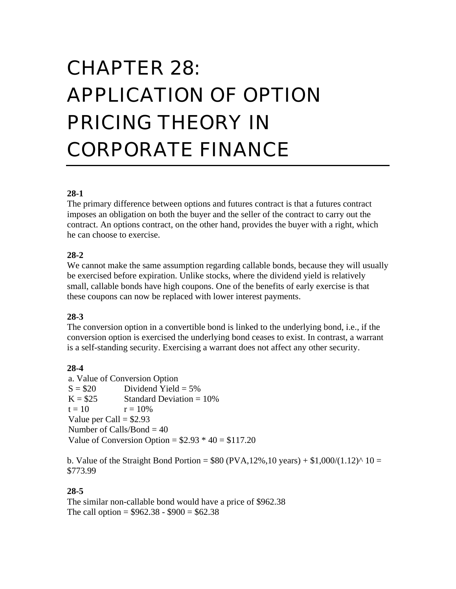# CHAPTER 28: APPLICATION OF OPTION PRICING THEORY IN CORPORATE FINANCE

## **28-1**

The primary difference between options and futures contract is that a futures contract imposes an obligation on both the buyer and the seller of the contract to carry out the contract. An options contract, on the other hand, provides the buyer with a right, which he can choose to exercise.

## **28-2**

We cannot make the same assumption regarding callable bonds, because they will usually be exercised before expiration. Unlike stocks, where the dividend yield is relatively small, callable bonds have high coupons. One of the benefits of early exercise is that these coupons can now be replaced with lower interest payments.

## **28-3**

The conversion option in a convertible bond is linked to the underlying bond, i.e., if the conversion option is exercised the underlying bond ceases to exist. In contrast, a warrant is a self-standing security. Exercising a warrant does not affect any other security.

## **28-4**

a. Value of Conversion Option  $S = $20$  Dividend Yield = 5%  $K = $25$  Standard Deviation = 10%  $t = 10$   $r = 10\%$ Value per Call  $=$  \$2.93 Number of Calls/Bond = 40 Value of Conversion Option =  $$2.93 * 40 = $117.20$ 

b. Value of the Straight Bond Portion =  $$80 (PVA, 12\%, 10 \text{ years}) + $1,000/(1.12)^{2} 10 =$ \$773.99

## **28-5**

The similar non-callable bond would have a price of \$962.38 The call option =  $$962.38 - $900 = $62.38$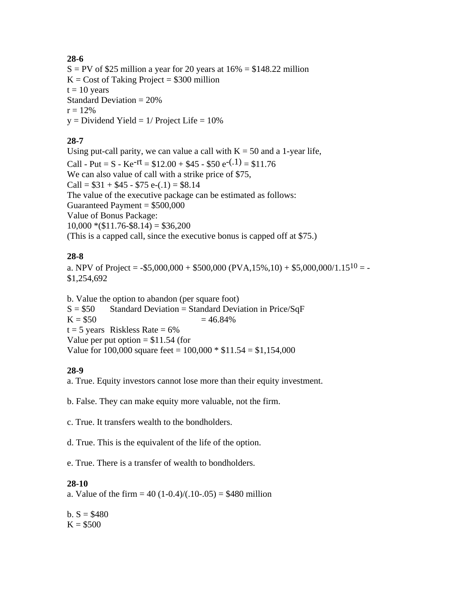## **28-6**

 $S = PV$  of \$25 million a year for 20 years at  $16\% = $148.22$  million  $K = Cost of Taking Project = $300 million$  $t = 10$  years Standard Deviation  $= 20\%$  $r = 12\%$  $y = Dividend Yield = 1/ Project Life = 10%$ 

## **28-7**

Using put-call parity, we can value a call with  $K = 50$  and a 1-year life, Call - Put = S - Ke<sup>-rt</sup> =  $$12.00 + $45 - $50 e^{-(.1)} = $11.76$ We can also value of call with a strike price of \$75, Call =  $$31 + $45 - $75 e^{-.1} = $8.14$ The value of the executive package can be estimated as follows: Guaranteed Payment  $= $500,000$ Value of Bonus Package:  $10,000 * ($11.76-$8.14) = $36,200$ (This is a capped call, since the executive bonus is capped off at \$75.)

## **28-8**

a. NPV of Project = -\$5,000,000 + \$500,000 (PVA,15%,10) + \$5,000,000/1.15<sup>10</sup> = -\$1,254,692

b. Value the option to abandon (per square foot)  $S = $50$  Standard Deviation = Standard Deviation in Price/SqF  $K = $50$   $= 46.84\%$  $t = 5$  years Riskless Rate = 6% Value per put option  $= $11.54$  (for Value for 100,000 square feet =  $100,000 * $11.54 = $1,154,000$ 

# **28-9**

a. True. Equity investors cannot lose more than their equity investment.

b. False. They can make equity more valuable, not the firm.

c. True. It transfers wealth to the bondholders.

d. True. This is the equivalent of the life of the option.

e. True. There is a transfer of wealth to bondholders.

## **28-10**

a. Value of the firm  $= 40 (1-0.4)/(0.10-0.05) = $480$  million

b.  $S = $480$  $K = $500$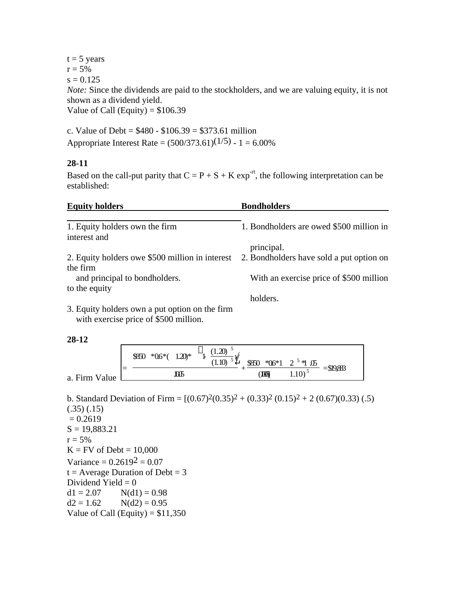$t = 5$  years  $r = 5\%$  $s = 0.125$ *Note:* Since the dividends are paid to the stockholders, and we are valuing equity, it is not shown as a dividend yield. Value of Call (Equity) =  $$106.39$ 

c. Value of Debt =  $$480 - $106.39 = $373.61$  million Appropriate Interest Rate =  $(500/373.61)(1/5) - 1 = 6.00\%$ 

#### **28-11**

Based on the call-put parity that  $C = P + S + K \exp^{-rt}$ , the following interpretation can be established:

| <b>Equity holders</b>                           | <b>Bondholders</b>                       |  |  |
|-------------------------------------------------|------------------------------------------|--|--|
| 1. Equity holders own the firm                  | 1. Bondholders are owed \$500 million in |  |  |
| interest and                                    |                                          |  |  |
|                                                 | principal.                               |  |  |
| 2. Equity holders owe \$500 million in interest | 2. Bondholders have sold a put option on |  |  |
| the firm                                        |                                          |  |  |
| and principal to bondholders.                   | With an exercise price of \$500 million  |  |  |
| to the equity                                   |                                          |  |  |
|                                                 | holders.                                 |  |  |
| 3. Equity holders own a put option on the firm  |                                          |  |  |

with exercise price of \$500 million.

**28-12**

|                                           | $1.20*$<br>$*06*($<br>\$850 | (1.20)<br>(1.10) | $$850 *06*1 2^5 *1.05$ |             | $= $19,883$ |
|-------------------------------------------|-----------------------------|------------------|------------------------|-------------|-------------|
| $\overline{\phantom{a}}$<br>a. Firm Value | 1005                        |                  | <b>TOK</b>             | $1.10)^{5}$ |             |

b. Standard Deviation of Firm =  $[(0.67)^{2}(0.35)^{2} + (0.33)^{2}(0.15)^{2} + 2(0.67)(0.33)(.5)$ (.35) (.15)  $= 0.2619$  $S = 19,883.21$  $r = 5\%$  $K = FV$  of Debt = 10,000 Variance =  $0.26192 = 0.07$  $t = Average$  Duration of Debt = 3 Dividend Yield  $= 0$  $d1 = 2.07$  N(d1) = 0.98  $d2 = 1.62$  N(d2) = 0.95 Value of Call (Equity) =  $$11,350$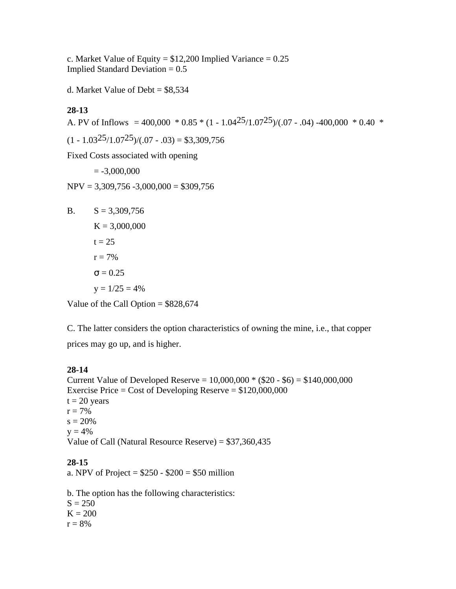c. Market Value of Equity =  $$12,200$  Implied Variance = 0.25 Implied Standard Deviation  $= 0.5$ 

d. Market Value of Debt = \$8,534

## **28-13**

A. PV of Inflows = 400,000  $*$  0.85  $*$  (1 - 1.04<sup>25</sup>/1.07<sup>25</sup>)/(.07 - .04) -400,000  $*$  0.40  $*$ 

 $(1 - 1.03^{25}/1.07^{25})/(0.07 - 0.03) = $3,309,756$ 

Fixed Costs associated with opening

 $= -3,000,000$ 

 $NPV = 3,309,756 - 3,000,000 = $309,756$ 

B.  $S = 3,309,756$  $K = 3,000,000$  $t = 25$  $r = 7\%$  $= 0.25$  $y = 1/25 = 4\%$ 

Value of the Call Option  $= $828,674$ 

C. The latter considers the option characteristics of owning the mine, i.e., that copper prices may go up, and is higher.

## **28-14**

Current Value of Developed Reserve =  $10,000,000 * ($20 - $6) = $140,000,000$ Exercise Price = Cost of Developing Reserve =  $$120,000,000$  $t = 20$  years  $r = 7\%$  $s = 20%$  $y = 4\%$ Value of Call (Natural Resource Reserve) = \$37,360,435

## **28-15**

a. NPV of Project =  $$250 - $200 = $50$  million

b. The option has the following characteristics:  $S = 250$  $K = 200$  $r = 8%$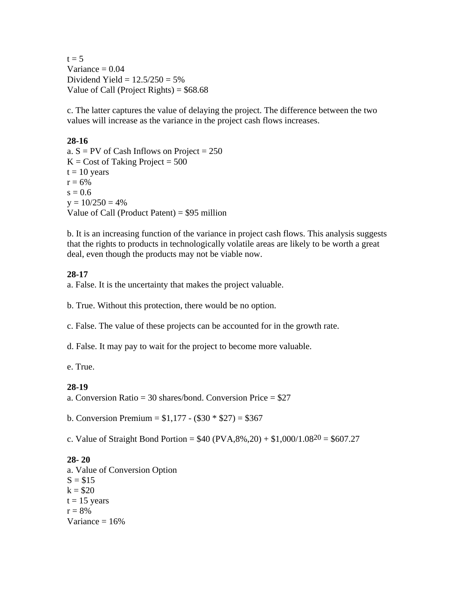$t = 5$ Variance  $= 0.04$ Dividend Yield =  $12.5/250 = 5%$ Value of Call (Project Rights) =  $$68.68$ 

c. The latter captures the value of delaying the project. The difference between the two values will increase as the variance in the project cash flows increases.

## **28-16**

a.  $S = PV$  of Cash Inflows on Project = 250  $K = Cost of Taking Project = 500$  $t = 10$  years  $r = 6\%$  $s = 0.6$  $y = 10/250 = 4%$ Value of Call (Product Patent) = \$95 million

b. It is an increasing function of the variance in project cash flows. This analysis suggests that the rights to products in technologically volatile areas are likely to be worth a great deal, even though the products may not be viable now.

## **28-17**

a. False. It is the uncertainty that makes the project valuable.

b. True. Without this protection, there would be no option.

c. False. The value of these projects can be accounted for in the growth rate.

d. False. It may pay to wait for the project to become more valuable.

e. True.

## **28-19**

a. Conversion Ratio = 30 shares/bond. Conversion Price =  $$27$ 

b. Conversion Premium =  $$1,177 - ($30 * $27) = $367$ 

c. Value of Straight Bond Portion =  $$40 (PVA, 8%, 20) + $1,000/1.08^{20} = $607.27$ 

## **28- 20**

a. Value of Conversion Option  $S = $15$  $k = $20$  $t = 15$  years  $r = 8\%$ Variance  $= 16%$